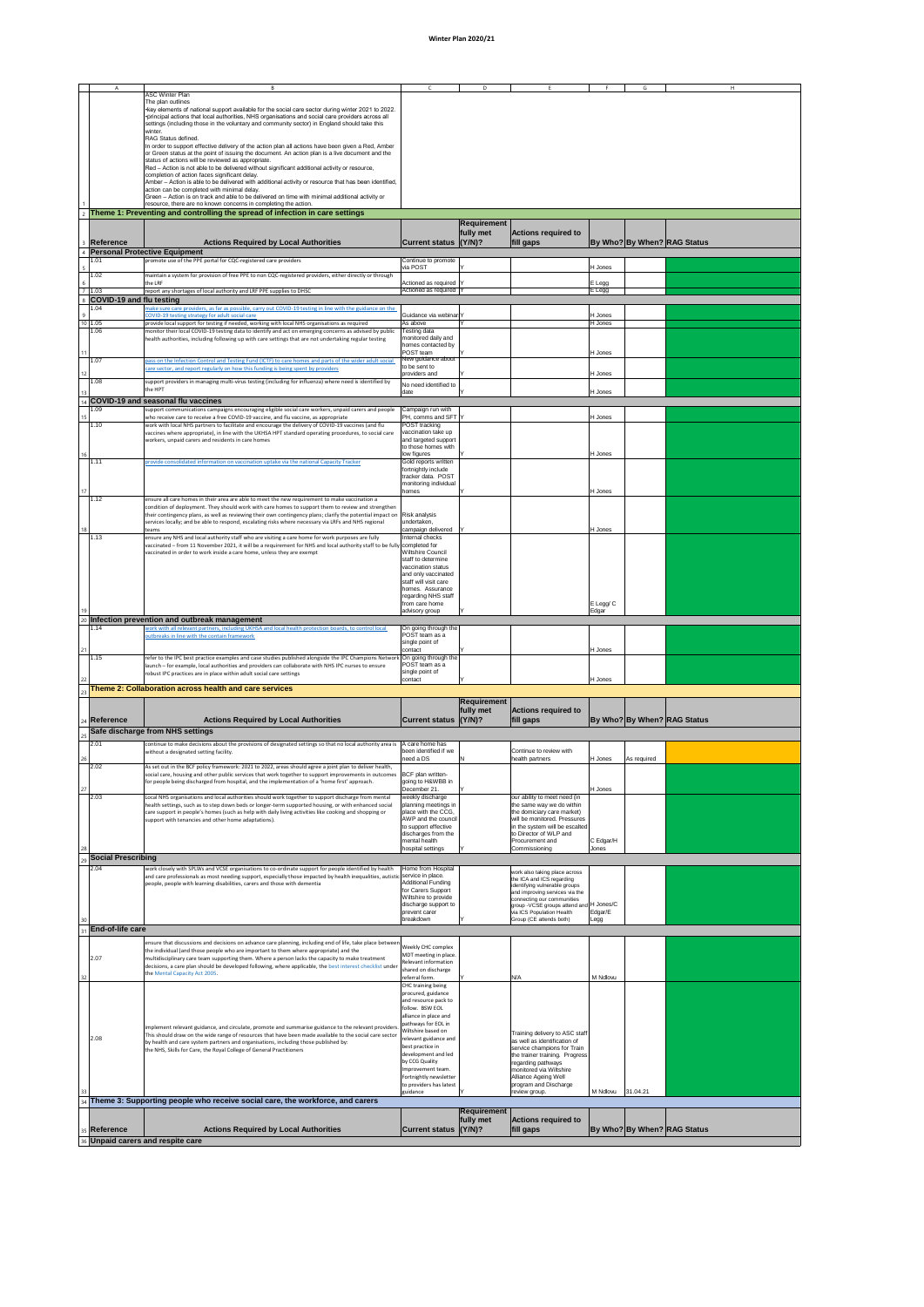## **Winter Plan 2020/21**

|                 |                            |                                                                                                                                                                    |                         | D.                 |                            |                | G | H                                  |  |
|-----------------|----------------------------|--------------------------------------------------------------------------------------------------------------------------------------------------------------------|-------------------------|--------------------|----------------------------|----------------|---|------------------------------------|--|
|                 |                            | <b>ASC Winter Plan</b>                                                                                                                                             |                         |                    |                            |                |   |                                    |  |
|                 |                            | The plan outlines                                                                                                                                                  |                         |                    |                            |                |   |                                    |  |
|                 |                            | • key elements of national support available for the social care sector during winter 2021 to 2022.                                                                |                         |                    |                            |                |   |                                    |  |
|                 |                            | •principal actions that local authorities, NHS organisations and social care providers across all                                                                  |                         |                    |                            |                |   |                                    |  |
|                 |                            | settings (including those in the voluntary and community sector) in England should take this                                                                       |                         |                    |                            |                |   |                                    |  |
|                 |                            | winter.                                                                                                                                                            |                         |                    |                            |                |   |                                    |  |
|                 |                            | RAG Status defined.                                                                                                                                                |                         |                    |                            |                |   |                                    |  |
|                 |                            | In order to support effective delivery of the action plan all actions have been given a Red, Amber                                                                 |                         |                    |                            |                |   |                                    |  |
|                 |                            | or Green status at the point of issuing the document. An action plan is a live document and the                                                                    |                         |                    |                            |                |   |                                    |  |
|                 |                            | status of actions will be reviewed as appropriate.                                                                                                                 |                         |                    |                            |                |   |                                    |  |
|                 |                            | $ Red -$ Action is not able to be delivered without significant additional activity or resource,                                                                   |                         |                    |                            |                |   |                                    |  |
|                 |                            | completion of action faces significant delay.                                                                                                                      |                         |                    |                            |                |   |                                    |  |
|                 |                            | Amber - Action is able to be delivered with additional activity or resource that has been identified,                                                              |                         |                    |                            |                |   |                                    |  |
|                 |                            | action can be completed with minimal delay.                                                                                                                        |                         |                    |                            |                |   |                                    |  |
|                 |                            | Green - Action is on track and able to be delivered on time with minimal additional activity or<br>resource, there are no known concerns in completing the action. |                         |                    |                            |                |   |                                    |  |
|                 |                            |                                                                                                                                                                    |                         |                    |                            |                |   |                                    |  |
|                 |                            | $_2$ Theme 1: Preventing and controlling the spread of infection in care settings                                                                                  |                         |                    |                            |                |   |                                    |  |
|                 |                            |                                                                                                                                                                    |                         | <b>Requirement</b> |                            |                |   |                                    |  |
|                 |                            |                                                                                                                                                                    |                         | fully met          | <b>Actions required to</b> |                |   |                                    |  |
|                 |                            |                                                                                                                                                                    |                         |                    |                            |                |   |                                    |  |
|                 | 3 Reference                | <b>Actions Required by Local Authorities</b>                                                                                                                       | Current status (Y/N)?   |                    | fill gaps                  |                |   | <b>By Who? By When? RAG Status</b> |  |
|                 |                            | 4 Personal Protective Equipment                                                                                                                                    |                         |                    |                            |                |   |                                    |  |
|                 | 1.01                       | promote use of the PPE portal for CQC-registered care providers                                                                                                    | Continue to promote     |                    |                            |                |   |                                    |  |
|                 |                            |                                                                                                                                                                    | via POST                |                    |                            | H Jones        |   |                                    |  |
|                 | 1.02                       | maintain a system for provision of free PPE to non CQC-registered providers, either directly or through                                                            |                         |                    |                            |                |   |                                    |  |
| 6               |                            | the LRF                                                                                                                                                            | Actioned as required  Y |                    |                            | E Legg         |   |                                    |  |
|                 | 1.03                       | report any shortages of local authority and LRF PPE supplies to DHSC                                                                                               | Actioned as required  Y |                    |                            | <b>IE Legg</b> |   |                                    |  |
|                 | 8 COVID-19 and flu testing |                                                                                                                                                                    |                         |                    |                            |                |   |                                    |  |
|                 | 1.04                       | make sure care providers, as far as possible, carry out COVID-19 testing in line with the guidance on the                                                          |                         |                    |                            |                |   |                                    |  |
| 9               |                            | COVID-19 testing strategy for adult social care                                                                                                                    | Guidance via webinar Y  |                    |                            | H Jones        |   |                                    |  |
|                 | 10 1.05                    | provide local support for testing if needed, working with local NHS organisations as required                                                                      | As above                |                    |                            | H Jones        |   |                                    |  |
|                 | 1.06                       | monitor their local COVID-19 testing data to identify and act on emerging concerns as advised by public                                                            | Testing data            |                    |                            |                |   |                                    |  |
|                 |                            | health authorities, including following up with care settings that are not undertaking regular testing                                                             | monitored daily and     |                    |                            |                |   |                                    |  |
|                 |                            |                                                                                                                                                                    | homes contacted by      |                    |                            |                |   |                                    |  |
| 11              |                            |                                                                                                                                                                    | POST team               |                    |                            | H Jones        |   |                                    |  |
|                 | 1.07                       | pass on the Infection Control and Testing Fund (ICTF) to care homes and parts of the wider adult social                                                            | New guidance about      |                    |                            |                |   |                                    |  |
|                 |                            | care sector, and report regularly on how this funding is being spent by providers                                                                                  | to be sent to           |                    |                            |                |   |                                    |  |
| 12 <sup>1</sup> |                            |                                                                                                                                                                    | providers and           |                    |                            | H Jones        |   |                                    |  |
|                 | 1.08                       | support providers in managing multi-virus testing (including for influenza) where need is identified by                                                            | No need identified to   |                    |                            |                |   |                                    |  |
| 13 <sup>1</sup> |                            | the HPT                                                                                                                                                            | date                    |                    |                            | H Jones        |   |                                    |  |
|                 |                            | 4 COVID-19 and seasonal flu vaccines                                                                                                                               |                         |                    |                            |                |   |                                    |  |
|                 | 1.09                       | support communications campaigns encouraging eligible social care workers, unpaid carers and people                                                                | Campaign run with       |                    |                            |                |   |                                    |  |
| 15              |                            | who receive care to receive a free COVID-19 vaccine, and flu vaccine, as appropriate                                                                               | PH, comms and SFT Y     |                    |                            | H Jones        |   |                                    |  |
|                 | 1.10                       | work with local NHS partners to facilitate and encourage the delivery of COVID-19 vaccines (and flu                                                                | POST tracking           |                    |                            |                |   |                                    |  |
|                 |                            | vaccines where appropriate), in line with the UKHSA HPT standard operating procedures, to social care                                                              | vaccination take up     |                    |                            |                |   |                                    |  |
|                 |                            | workers, unpaid carers and residents in care homes                                                                                                                 | and targeted support    |                    |                            |                |   |                                    |  |
|                 |                            |                                                                                                                                                                    | to those homes with     |                    |                            |                |   |                                    |  |
| 16              |                            |                                                                                                                                                                    | low figures             |                    |                            | H Jones        |   |                                    |  |
|                 | 1.11                       | provide consolidated information on vaccination uptake via the national Capacity Tracker                                                                           | Gold reports written    |                    |                            |                |   |                                    |  |
|                 |                            |                                                                                                                                                                    | fortnightly include     |                    |                            |                |   |                                    |  |
|                 |                            |                                                                                                                                                                    | tracker data. POST      |                    |                            |                |   |                                    |  |
|                 |                            |                                                                                                                                                                    | monitoring individual   |                    |                            |                |   |                                    |  |
|                 |                            |                                                                                                                                                                    | homes                   |                    |                            | H.Jones        |   |                                    |  |

| 17  |                           |                                                                                                                              | homes                                      |                    |                                                                       | H Jones     |             |                                    |
|-----|---------------------------|------------------------------------------------------------------------------------------------------------------------------|--------------------------------------------|--------------------|-----------------------------------------------------------------------|-------------|-------------|------------------------------------|
|     | 1.12                      | ensure all care homes in their area are able to meet the new requirement to make vaccination a                               |                                            |                    |                                                                       |             |             |                                    |
|     |                           | condition of deployment. They should work with care homes to support them to review and strengthen                           |                                            |                    |                                                                       |             |             |                                    |
|     |                           | their contingency plans, as well as reviewing their own contingency plans; clarify the potential impact on $ R$ isk analysis |                                            |                    |                                                                       |             |             |                                    |
|     |                           | services locally; and be able to respond, escalating risks where necessary via LRFs and NHS regional                         | undertaken,                                |                    |                                                                       |             |             |                                    |
| 18  |                           | teams                                                                                                                        | campaign delivered                         |                    |                                                                       | H Jones     |             |                                    |
|     | 1.13                      | ensure any NHS and local authority staff who are visiting a care home for work purposes are fully                            | Internal checks                            |                    |                                                                       |             |             |                                    |
|     |                           | vaccinated – from 11 November 2021, it will be a requirement for NHS and local authority staff to be fully completed for     |                                            |                    |                                                                       |             |             |                                    |
|     |                           | vaccinated in order to work inside a care home, unless they are exempt                                                       | <b>Wiltshire Council</b>                   |                    |                                                                       |             |             |                                    |
|     |                           |                                                                                                                              | staff to determine                         |                    |                                                                       |             |             |                                    |
|     |                           |                                                                                                                              | vaccination status<br>and only vaccinated  |                    |                                                                       |             |             |                                    |
|     |                           |                                                                                                                              | staff will visit care                      |                    |                                                                       |             |             |                                    |
|     |                           |                                                                                                                              | homes. Assurance                           |                    |                                                                       |             |             |                                    |
|     |                           |                                                                                                                              | regarding NHS staff                        |                    |                                                                       |             |             |                                    |
|     |                           |                                                                                                                              | from care home                             |                    |                                                                       | $E$ Legg/ C |             |                                    |
| 19  |                           |                                                                                                                              | advisory group                             |                    |                                                                       | Edgar       |             |                                    |
|     |                           | 20 Infection prevention and outbreak management                                                                              |                                            |                    |                                                                       |             |             |                                    |
|     | 1.14                      | work with all relevant partners, including UKHSA and local health protection boards, to control local                        | On going through the                       |                    |                                                                       |             |             |                                    |
|     |                           | outbreaks in line with the contain framework                                                                                 | POST team as a                             |                    |                                                                       |             |             |                                    |
|     |                           |                                                                                                                              | single point of                            |                    |                                                                       |             |             |                                    |
| 21  |                           |                                                                                                                              | contact                                    |                    |                                                                       | H Jones     |             |                                    |
|     | 1.15                      | refer to the IPC best practice examples and case studies published alongside the IPC Champions Network                       | On going through the<br>POST team as a     |                    |                                                                       |             |             |                                    |
|     |                           | launch - for example, local authorities and providers can collaborate with NHS IPC nurses to ensure                          | single point of                            |                    |                                                                       |             |             |                                    |
| 22  |                           | robust IPC practices are in place within adult social care settings                                                          | contact                                    |                    |                                                                       | H Jones     |             |                                    |
|     |                           | Theme 2: Collaboration across health and care services                                                                       |                                            |                    |                                                                       |             |             |                                    |
|     |                           |                                                                                                                              |                                            |                    |                                                                       |             |             |                                    |
|     |                           |                                                                                                                              |                                            | <b>Requirement</b> |                                                                       |             |             |                                    |
|     |                           |                                                                                                                              |                                            | fully met          | <b>Actions required to</b>                                            |             |             |                                    |
|     | $_{24}$ Reference         | <b>Actions Required by Local Authorities</b>                                                                                 | Current status (Y/N)?                      |                    | fill gaps                                                             |             |             | <b>By Who? By When? RAG Status</b> |
|     |                           | Safe discharge from NHS settings                                                                                             |                                            |                    |                                                                       |             |             |                                    |
| 25  |                           |                                                                                                                              |                                            |                    |                                                                       |             |             |                                    |
|     | 2.01                      | continue to make decisions about the provisions of designated settings so that no local authority area is                    | A care home has                            |                    |                                                                       |             |             |                                    |
|     |                           | without a designated setting facility.                                                                                       | been identified if we                      |                    | Continue to review with                                               |             |             |                                    |
| 26  |                           |                                                                                                                              | need a DS                                  |                    | health partners                                                       | H Jones     | As required |                                    |
|     | 2.02                      | As set out in the BCF policy framework: 2021 to 2022, areas should agree a joint plan to deliver health,                     |                                            |                    |                                                                       |             |             |                                    |
|     |                           | social care, housing and other public services that work together to support improvements in outcomes                        | BCF plan written-                          |                    |                                                                       |             |             |                                    |
| 27  |                           | for people being discharged from hospital, and the implementation of a 'home first' approach.                                | going to H&WBB in<br>December 21.          |                    |                                                                       | H Jones     |             |                                    |
|     | 2.03                      | Local NHS organisations and local authorities should work together to support discharge from mental                          | weekly discharge                           |                    | our ability to meet need (in                                          |             |             |                                    |
|     |                           | health settings, such as to step down beds or longer-term supported housing, or with enhanced social                         | planning meetings in                       |                    | the same way we do within                                             |             |             |                                    |
|     |                           | care support in people's homes (such as help with daily living activities like cooking and shopping or                       | place with the CCG,                        |                    | the domiciary care market)                                            |             |             |                                    |
|     |                           | support with tenancies and other home adaptations).                                                                          | AWP and the council                        |                    | will be monitored. Pressures                                          |             |             |                                    |
|     |                           |                                                                                                                              | to support effective                       |                    | in the system will be escalted                                        |             |             |                                    |
|     |                           |                                                                                                                              | discharges from the                        |                    | to Director of WLP and                                                |             |             |                                    |
|     |                           |                                                                                                                              | mental health                              |                    | Procurement and                                                       | C Edgar/H   |             |                                    |
| -28 |                           |                                                                                                                              | hospital settings                          |                    | Commissioning                                                         | Jones       |             |                                    |
|     | <b>Social Prescribing</b> |                                                                                                                              |                                            |                    |                                                                       |             |             |                                    |
|     | 2.04                      | work closely with SPLWs and VCSE organisations to co-ordinate support for people identified by health                        | Home from Hospital                         |                    | work also taking place across                                         |             |             |                                    |
|     |                           | and care professionals as most needing support, especially those impacted by health inequalities, autistic                   | service in place.                          |                    | the ICA and ICS regarding                                             |             |             |                                    |
|     |                           | people, people with learning disabilities, carers and those with dementia                                                    | Additional Funding                         |                    | identifying vulnerable groups                                         |             |             |                                    |
|     |                           |                                                                                                                              | for Carers Support<br>Wiltshire to provide |                    | and improving services via the                                        |             |             |                                    |
|     |                           |                                                                                                                              | discharge support to                       |                    | connecting our communities<br>group -VCSE groups attend and H Jones/C |             |             |                                    |
|     |                           |                                                                                                                              | prevent carer                              |                    | via ICS Population Health                                             | Edgar/E     |             |                                    |
| 30  |                           |                                                                                                                              | breakdown                                  |                    | Group (CE attends both)                                               | Legg        |             |                                    |
|     | <b>End-of-life care</b>   |                                                                                                                              |                                            |                    |                                                                       |             |             |                                    |
|     |                           |                                                                                                                              |                                            |                    |                                                                       |             |             |                                    |
|     |                           | ensure that discussions and decisions on advance care planning, including end of life, take place between                    | Weekly CHC complex                         |                    |                                                                       |             |             |                                    |
|     |                           | the individual (and those people who are important to them where appropriate) and the                                        | MDT meeting in place.                      |                    |                                                                       |             |             |                                    |
|     | 2.07                      | multidisciplinary care team supporting them. Where a person lacks the capacity to make treatment                             | <b>Relevant information</b>                |                    |                                                                       |             |             |                                    |
|     |                           | decisions, a care plan should be developed following, where applicable, the best interest checklist under                    | shared on discharge                        |                    |                                                                       |             |             |                                    |
| 32  |                           | the Mental Capacity Act 2005.                                                                                                | referral form.                             |                    | N/A                                                                   | M Ndlovu    |             |                                    |
|     |                           |                                                                                                                              | CHC training being                         |                    |                                                                       |             |             |                                    |
|     |                           |                                                                                                                              | procured, guidance                         |                    |                                                                       |             |             |                                    |
|     |                           |                                                                                                                              | and resource pack to                       |                    |                                                                       |             |             |                                    |
|     |                           |                                                                                                                              | follow. BSW EOL                            |                    |                                                                       |             |             |                                    |
|     |                           |                                                                                                                              | alliance in place and                      |                    |                                                                       |             |             |                                    |
|     |                           | implement relevant guidance, and circulate, promote and summarise guidance to the relevant providers                         | pathways for EOL in<br>Wiltshire based on  |                    |                                                                       |             |             |                                    |
|     | 2.08                      | This should draw on the wide range of resources that have been made available to the social care sector                      | relevant guidance and                      |                    | Training delivery to ASC staff                                        |             |             |                                    |
|     |                           | by health and care system partners and organisations, including those published by:                                          | best practice in                           |                    | as well as identification of<br>service champions for Train           |             |             |                                    |
|     |                           | the NHS, Skills for Care, the Royal College of General Practitioners                                                         | development and led                        |                    | the trainer training. Progress                                        |             |             |                                    |
|     |                           |                                                                                                                              | by CCG Quality                             |                    | regarding pathways                                                    |             |             |                                    |
|     |                           |                                                                                                                              | Improvement team.                          |                    | monitored via Wiltshire                                               |             |             |                                    |
|     |                           |                                                                                                                              | Fortnightly newsletter                     |                    | <b>Alliance Ageing Well</b>                                           |             |             |                                    |
|     |                           |                                                                                                                              | to providers has latest                    |                    | program and Discharge                                                 |             |             |                                    |
| 33  |                           |                                                                                                                              | guidance                                   |                    | review group.                                                         | M Ndlovu    | 31.04.21    |                                    |
| 34  |                           | Theme 3: Supporting people who receive social care, the workforce, and carers                                                |                                            |                    |                                                                       |             |             |                                    |
|     |                           |                                                                                                                              |                                            | <b>Requirement</b> |                                                                       |             |             |                                    |
|     |                           |                                                                                                                              |                                            | fully met          | <b>Actions required to</b>                                            |             |             |                                    |
|     | 35 Reference              | <b>Actions Required by Local Authorities</b>                                                                                 | Current status (Y/N)?                      |                    | fill gaps                                                             |             |             | <b>By Who? By When? RAG Status</b> |
|     |                           | 36 Unpaid carers and respite care                                                                                            |                                            |                    |                                                                       |             |             |                                    |
|     |                           |                                                                                                                              |                                            |                    |                                                                       |             |             |                                    |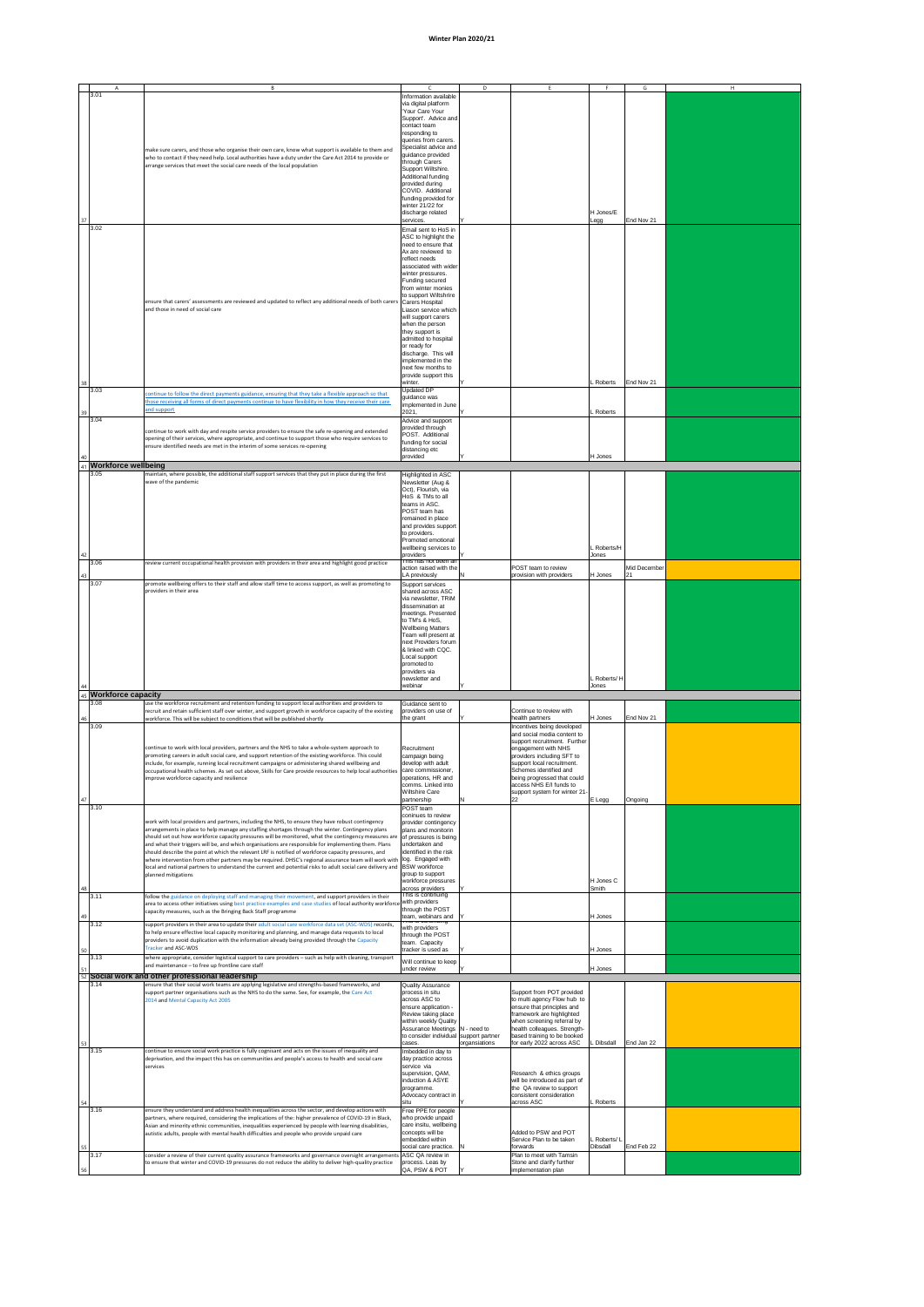## **Winter Plan 2020/21**

|          |                            | <sup>B</sup>                                                                                                                                                                                                                                                                                                          |                                                                                                    | D             |                                                                                           | G                                      | H |
|----------|----------------------------|-----------------------------------------------------------------------------------------------------------------------------------------------------------------------------------------------------------------------------------------------------------------------------------------------------------------------|----------------------------------------------------------------------------------------------------|---------------|-------------------------------------------------------------------------------------------|----------------------------------------|---|
|          | 3.01                       |                                                                                                                                                                                                                                                                                                                       | Information available<br>via digital platform<br>'Your Care Your                                   |               |                                                                                           |                                        |   |
|          |                            |                                                                                                                                                                                                                                                                                                                       | Support'. Advice and<br>contact team<br>responding to                                              |               |                                                                                           |                                        |   |
|          |                            | make sure carers, and those who organise their own care, know what support is available to them and<br>who to contact if they need help. Local authorities have a duty under the Care Act 2014 to provide or                                                                                                          | queries from carers.<br>Specialist advice and<br>guidance provided                                 |               |                                                                                           |                                        |   |
|          |                            | arrange services that meet the social care needs of the local population                                                                                                                                                                                                                                              | through Carers<br>Support Wiltshire.<br>Additional funding                                         |               |                                                                                           |                                        |   |
|          |                            |                                                                                                                                                                                                                                                                                                                       | provided during<br>COVID. Additional<br>funding provided for                                       |               |                                                                                           |                                        |   |
| 37       |                            |                                                                                                                                                                                                                                                                                                                       | winter 21/22 for<br>discharge related<br>services.                                                 |               |                                                                                           | H Jones/E<br>End Nov 21<br>Legg        |   |
|          | 3.02                       |                                                                                                                                                                                                                                                                                                                       | Email sent to HoS in<br>ASC to highlight the<br>need to ensure that                                |               |                                                                                           |                                        |   |
|          |                            |                                                                                                                                                                                                                                                                                                                       | Ax are reviewed to<br>reflect needs<br>associated with wider                                       |               |                                                                                           |                                        |   |
|          |                            |                                                                                                                                                                                                                                                                                                                       | winter pressures.<br>Funding secured<br>from winter monies                                         |               |                                                                                           |                                        |   |
|          |                            | ensure that carers' assessments are reviewed and updated to reflect any additional needs of both carers<br>and those in need of social care                                                                                                                                                                           | to support Wiltshrire<br>Carers Hospital<br>Liason service which                                   |               |                                                                                           |                                        |   |
|          |                            |                                                                                                                                                                                                                                                                                                                       | will support carers<br>when the person<br>they support is                                          |               |                                                                                           |                                        |   |
|          |                            |                                                                                                                                                                                                                                                                                                                       | admitted to hospital<br>or ready for<br>discharge. This will                                       |               |                                                                                           |                                        |   |
|          |                            |                                                                                                                                                                                                                                                                                                                       | implemented in the<br>next few months to<br>provide support this                                   |               |                                                                                           |                                        |   |
| 38       | 3.03                       | continue to follow the direct payments guidance, ensuring that they take a flexible approach so that<br>those receiving all forms of direct payments continue to have flexibility in how they receive their care                                                                                                      | winter.<br>Updated DP<br>guidance was                                                              |               |                                                                                           | End Nov 21<br>Roberts                  |   |
| 39       | 3.04                       | and support                                                                                                                                                                                                                                                                                                           | implemented in June<br>2021,<br>Advice and support                                                 |               |                                                                                           | Roberts                                |   |
|          |                            | continue to work with day and respite service providers to ensure the safe re-opening and extended<br>opening of their services, where appropriate, and continue to support those who require services to<br>ensure identified needs are met in the interim of some services re-opening                               | provided through<br>POST. Additional<br>funding for social                                         |               |                                                                                           |                                        |   |
| 40<br>41 | <b>Workforce wellbeing</b> |                                                                                                                                                                                                                                                                                                                       | distancing etc<br>provided                                                                         |               |                                                                                           | H Jones                                |   |
|          | 3.05                       | maintain, where possible, the additional staff support services that they put in place during the first<br>wave of the pandemic                                                                                                                                                                                       | Highlighted in ASC<br>Newsletter (Aug &<br>Oct), Flourish, via                                     |               |                                                                                           |                                        |   |
|          |                            |                                                                                                                                                                                                                                                                                                                       | HoS & TMs to all<br>teams in ASC.<br>POST team has                                                 |               |                                                                                           |                                        |   |
|          |                            |                                                                                                                                                                                                                                                                                                                       | remained in place<br>and provides support<br>to providers.<br>Promoted emotional                   |               |                                                                                           |                                        |   |
| 42       | 3.06                       | review current occupational health provision with providers in their area and highlight good practice                                                                                                                                                                                                                 | wellbeing services to<br>providers<br>This has not been an                                         |               |                                                                                           | <b>Roberts/H</b><br>Jones              |   |
| 43       | 3.07                       | promote wellbeing offers to their staff and allow staff time to access support, as well as promoting to                                                                                                                                                                                                               | action raised with the<br>LA previously<br>Support services                                        |               | <b>POST</b> team to review<br>provision with providers                                    | Mid December<br>H Jones<br> 21         |   |
|          |                            | providers in their area                                                                                                                                                                                                                                                                                               | shared across ASC<br>via newsletter, TRiM<br>dissemination at                                      |               |                                                                                           |                                        |   |
|          |                            |                                                                                                                                                                                                                                                                                                                       | meetings. Presented<br>to TM's & HoS,<br><b>Wellbeing Matters</b>                                  |               |                                                                                           |                                        |   |
|          |                            |                                                                                                                                                                                                                                                                                                                       | Team will present at<br>next Providers forum<br>& linked with CQC.                                 |               |                                                                                           |                                        |   |
|          |                            |                                                                                                                                                                                                                                                                                                                       | Local support<br>promoted to<br>providers via                                                      |               |                                                                                           |                                        |   |
| 44<br>45 | <b>Workforce capacity</b>  |                                                                                                                                                                                                                                                                                                                       | newsletter and<br>webinar                                                                          |               |                                                                                           | _Roberts/H<br>Jones                    |   |
| 46       | 3.08                       | use the workforce recruitment and retention funding to support local authorities and providers to<br>recruit and retain sufficient staff over winter, and support growth in workforce capacity of the existing<br>workforce. This will be subject to conditions that will be published shortly                        | Guidance sent to<br>providers on use of<br>the grant                                               |               | Continue to review with<br>health partners                                                | H Jones<br>End Nov 21                  |   |
|          | 3.09                       |                                                                                                                                                                                                                                                                                                                       |                                                                                                    |               | Incentives being developed<br>and social media content to<br>support recruitment. Further |                                        |   |
|          |                            | continue to work with local providers, partners and the NHS to take a whole-system approach to<br>promoting careers in adult social care, and support retention of the existing workforce. This could<br>include, for example, running local recruitment campaigns or administering shared wellbeing and              | Recruitment<br>campaign being<br>develop with adult                                                |               | engagement with NHS<br>providers including SFT to<br>support local recruitment.           |                                        |   |
|          |                            | occupational health schemes. As set out above, Skills for Care provide resources to help local authorities<br>improve workforce capacity and resilience                                                                                                                                                               | care commissioner,<br>operations, HR and<br>comms. Linked into                                     |               | Schemes identified and<br>being progressed that could<br>access NHS E/I funds to          |                                        |   |
| 47       | 3.10                       |                                                                                                                                                                                                                                                                                                                       | <b>Wiltshire Care</b><br>partnership<br>POST team                                                  | N             | support system for winter 21-<br>22                                                       | <b>E</b> Legg<br>Ongoing               |   |
|          |                            | work with local providers and partners, including the NHS, to ensure they have robust contingency<br>arrangements in place to help manage any staffing shortages through the winter. Contingency plans                                                                                                                | coninues to review<br>provider contingency<br>plans and monitorin                                  |               |                                                                                           |                                        |   |
|          |                            | should set out how workforce capacity pressures will be monitored, what the contingency measures are<br>and what their triggers will be, and which organisations are responsible for implementing them. Plans<br>should describe the point at which the relevant LRF is notified of workforce capacity pressures, and | of pressures is being<br>undertaken and<br>identified in the risk                                  |               |                                                                                           |                                        |   |
|          |                            | where intervention from other partners may be required. DHSC's regional assurance team will work with<br>local and national partners to understand the current and potential risks to adult social care delivery and<br>planned mitigations                                                                           | log. Engaged with<br><b>BSW</b> workforce<br>group to support                                      |               |                                                                                           |                                        |   |
| 48       | 3.11                       | follow the guidance on deploying staff and managing their movement, and support providers in their                                                                                                                                                                                                                    | workforce pressures<br>across providers<br>This is continuing<br>with providers                    |               |                                                                                           | H Jones C<br>Smith                     |   |
| 49       | 3.12                       | area to access other initiatives using best practice examples and case studies of local authority workforce<br>capacity measures, such as the Bringing Back Staff programme<br>support providers in their area to update their adult social care workforce data set (ASC-WDS) records,                                | through the POST<br>team, webinars and Y<br><del>rmə iə continuint</del>                           |               |                                                                                           | H Jones                                |   |
|          |                            | to help ensure effective local capacity monitoring and planning, and manage data requests to local<br>providers to avoid duplication with the information already being provided through the Capacity<br><b>Tracker and ASC-WDS</b>                                                                                   | with providers<br>through the POST<br>team. Capacity                                               |               |                                                                                           |                                        |   |
| 50<br>51 | 3.13                       | where appropriate, consider logistical support to care providers – such as help with cleaning, transport<br>and maintenance - to free up frontline care staff                                                                                                                                                         | tracker is used as<br>Will continue to keep<br>under review                                        |               |                                                                                           | H Jones<br>H Jones                     |   |
|          | 3.14                       | Social work and other professional leadership<br>ensure that their social work teams are applying legislative and strengths-based frameworks, and<br>support partner organisations such as the NHS to do the same. See, for example, the Care Act                                                                     | <b>Quality Assurance</b><br>process in situ                                                        |               | Support from POT provided                                                                 |                                        |   |
|          |                            | 2014 and Mental Capacity Act 2005                                                                                                                                                                                                                                                                                     | across ASC to<br>ensure application -<br>Review taking place                                       |               | to multi agency Flow hub to<br>ensure that principles and<br>framework are highlighted    |                                        |   |
|          |                            |                                                                                                                                                                                                                                                                                                                       | within weekly Quality<br>Assurance Meetings  N - need to<br>to consider individual support partner |               | when screening referral by<br>health colleagues. Strength-<br>based training to be booked |                                        |   |
| 53       | 3.15                       | continue to ensure social work practice is fully cognisant and acts on the issues of inequality and<br>deprivation, and the impact this has on communities and people's access to health and social care                                                                                                              | cases.<br>Imbedded in day to<br>day practice across                                                | organsiations | for early 2022 across ASC                                                                 | Dibsdall<br>End Jan 22                 |   |
|          |                            | services                                                                                                                                                                                                                                                                                                              | service via<br>supervision, QAM,<br>induction & ASYE                                               |               | Research & ethics groups<br>will be introduced as part of                                 |                                        |   |
| 54       |                            |                                                                                                                                                                                                                                                                                                                       | programme.<br>Advocacy contract in<br>situ                                                         |               | the QA review to support<br>consistent consideration<br>across ASC                        | Roberts                                |   |
|          | 3.16                       | ensure they understand and address health inequalities across the sector, and develop actions with<br>partners, where required, considering the implications of the: higher prevalence of COVID-19 in Black,<br>Asian and minority ethnic communities, inequalities experienced by people with learning disabilities, | Free PPE for people<br>who provide unpaid<br>care insitu, wellbeing                                |               |                                                                                           |                                        |   |
| 55       |                            | autistic adults, people with mental health difficulties and people who provide unpaid care                                                                                                                                                                                                                            | concepts will be<br>embedded within<br>social care practice.  N                                    |               | Added to PSW and POT<br>Service Plan to be taken<br>forwards                              | _ Roberts/ L<br>Dibsdall<br>End Feb 22 |   |
| 56       | 3.17                       | consider a review of their current quality assurance frameworks and governance oversight arrangements<br>to ensure that winter and COVID-19 pressures do not reduce the ability to deliver high-quality practice                                                                                                      | ASC QA review in<br>process. Leas by<br>QA, PSW & POT                                              |               | Plan to meet with Tamsin<br>Stone and clarify further<br>implementation plan              |                                        |   |